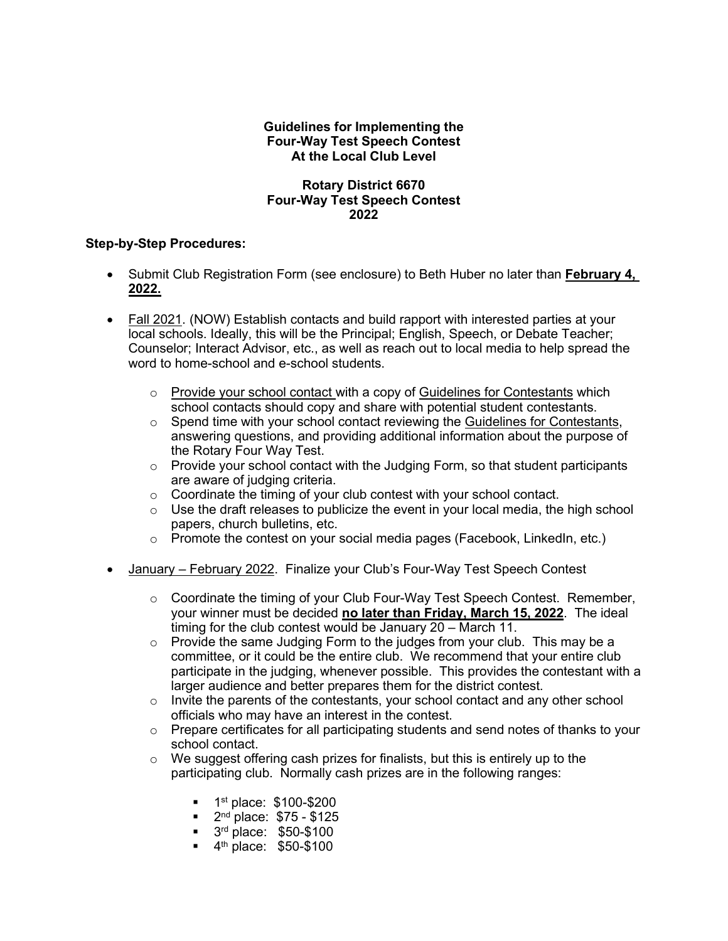## **Guidelines for Implementing the Four-Way Test Speech Contest At the Local Club Level**

## **Rotary District 6670 Four-Way Test Speech Contest 2022**

## **Step-by-Step Procedures:**

- Submit Club Registration Form (see enclosure) to Beth Huber no later than **February 4, 2022.**
- Fall 2021. (NOW) Establish contacts and build rapport with interested parties at your local schools. Ideally, this will be the Principal; English, Speech, or Debate Teacher; Counselor; Interact Advisor, etc., as well as reach out to local media to help spread the word to home-school and e-school students.
	- $\circ$  Provide your school contact with a copy of Guidelines for Contestants which school contacts should copy and share with potential student contestants.
	- $\circ$  Spend time with your school contact reviewing the Guidelines for Contestants, answering questions, and providing additional information about the purpose of the Rotary Four Way Test.
	- $\circ$  Provide your school contact with the Judging Form, so that student participants are aware of judging criteria.
	- $\circ$  Coordinate the timing of your club contest with your school contact.
	- $\circ$  Use the draft releases to publicize the event in your local media, the high school papers, church bulletins, etc.
	- $\circ$  Promote the contest on your social media pages (Facebook, LinkedIn, etc.)
- January February 2022. Finalize your Club's Four-Way Test Speech Contest
	- $\circ$  Coordinate the timing of your Club Four-Way Test Speech Contest. Remember, your winner must be decided **no later than Friday, March 15, 2022**. The ideal timing for the club contest would be January 20 – March 11.
	- $\circ$  Provide the same Judging Form to the judges from your club. This may be a committee, or it could be the entire club. We recommend that your entire club participate in the judging, whenever possible. This provides the contestant with a larger audience and better prepares them for the district contest.
	- $\circ$  Invite the parents of the contestants, your school contact and any other school officials who may have an interest in the contest.
	- $\circ$  Prepare certificates for all participating students and send notes of thanks to your school contact.
	- $\circ$  We suggest offering cash prizes for finalists, but this is entirely up to the participating club. Normally cash prizes are in the following ranges:
		- $\blacksquare$  1<sup>st</sup> place: \$100-\$200<br> $\blacksquare$  2<sup>nd</sup> place: \$75 \$125
		- 2nd place: \$75 \$125
		- **3rd place: \$50-\$100**
		- $\blacksquare$  4<sup>th</sup> place: \$50-\$100